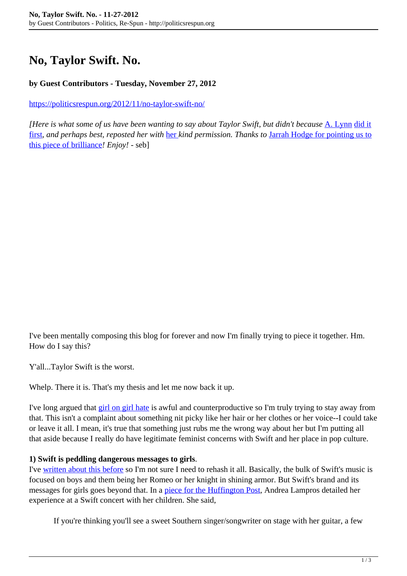# **No, Taylor Swift. No.**

### **by Guest Contributors - Tuesday, November 27, 2012**

<https://politicsrespun.org/2012/11/no-taylor-swift-no/>

*[Here is what some of us have been wanting to say about Taylor Swift, but didn't because* [A. Lynn](http://www.nerdyfeminist.com/p/who-are-you-and-faqs.html) [did it](http://www.nerdyfeminist.com/2012/11/no-taylor-swift-no.html) [first](http://www.nerdyfeminist.com/2012/11/no-taylor-swift-no.html)*, and perhaps best, reposted her with* [her](http://twitter.com/anerdyfeminist) *kind permission. Thanks to* [Jarrah Hodge for pointing us to](http://www.gender-focus.com/2012/11/20/the-round-up-nov-20-2012/) [this piece of brilliance](http://www.gender-focus.com/2012/11/20/the-round-up-nov-20-2012/)*! Enjoy!* - seb]

I've been mentally composing this blog for forever and now I'm finally trying to piece it together. Hm. How do I say this?

Y'all...Taylor Swift is the worst.

Whelp. There it is. That's my thesis and let me now back it up.

I've long argued that [girl on girl hate](http://www.nerdyfeminist.com/2009/02/girl-on-girl-crime.html) is awful and counterproductive so I'm truly trying to stay away from that. This isn't a complaint about something nit picky like her hair or her clothes or her voice--I could take or leave it all. I mean, it's true that something just rubs me the wrong way about her but I'm putting all that aside because I really do have legitimate feminist concerns with Swift and her place in pop culture.

#### **1) Swift is peddling dangerous messages to girls**.

I've [written about this before](http://www.nerdyfeminist.com/2009/03/popular-music-and-white-horse-myth.html) so I'm not sure I need to rehash it all. Basically, the bulk of Swift's music is focused on boys and them being her Romeo or her knight in shining armor. But Swift's brand and its messages for girls goes beyond that. In a [piece for the Huffington Post,](http://www.huffingtonpost.com/andrea-lampros/taylor-swift_b_928371.html) Andrea Lampros detailed her experience at a Swift concert with her children. She said,

If you're thinking you'll see a sweet Southern singer/songwriter on stage with her guitar, a few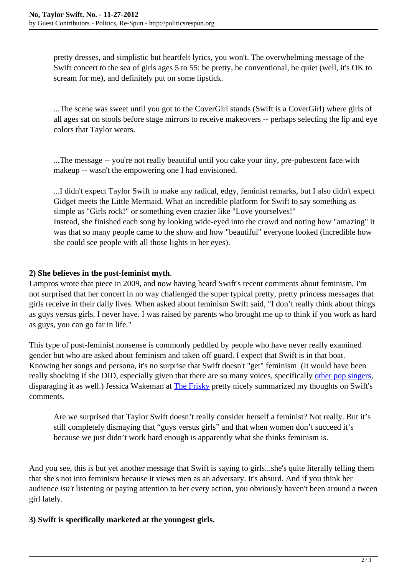pretty dresses, and simplistic but heartfelt lyrics, you won't. The overwhelming message of the Swift concert to the sea of girls ages 5 to 55: be pretty, be conventional, be quiet (well, it's OK to scream for me), and definitely put on some lipstick.

...The scene was sweet until you got to the CoverGirl stands (Swift is a CoverGirl) where girls of all ages sat on stools before stage mirrors to receive makeovers -- perhaps selecting the lip and eye colors that Taylor wears.

...The message -- you're not really beautiful until you cake your tiny, pre-pubescent face with makeup -- wasn't the empowering one I had envisioned.

...I didn't expect Taylor Swift to make any radical, edgy, feminist remarks, but I also didn't expect Gidget meets the Little Mermaid. What an incredible platform for Swift to say something as simple as "Girls rock!" or something even crazier like "Love yourselves!" Instead, she finished each song by looking wide-eyed into the crowd and noting how "amazing" it was that so many people came to the show and how "beautiful" everyone looked (incredible how she could see people with all those lights in her eyes).

# **2) She believes in the post-feminist myth**.

Lampros wrote that piece in 2009, and now having heard Swift's recent comments about feminism, I'm not surprised that her concert in no way challenged the super typical pretty, pretty princess messages that girls receive in their daily lives. When asked about feminism Swift said, "I don't really think about things as guys versus girls. I never have. I was raised by parents who brought me up to think if you work as hard as guys, you can go far in life."

This type of post-feminist nonsense is commonly peddled by people who have never really examined gender but who are asked about feminism and taken off guard. I expect that Swift is in that boat. Knowing her songs and persona, it's no surprise that Swift doesn't "get" feminism (It would have been really shocking if she DID, especially given that there are so many voices, specifically [other pop singers](http://www.nerdyfeminist.com/2009/03/that-damn-dirty-f-word.html), disparaging it as well.) Jessica Wakeman at **The Frisky** pretty nicely summarized my thoughts on Swift's comments.

Are we surprised that Taylor Swift doesn't really consider herself a feminist? Not really. But it's still completely dismaying that "guys versus girls" and that when women don't succeed it's because we just didn't work hard enough is apparently what she thinks feminism is.

And you see, this is but yet another message that Swift is saying to girls...she's quite literally telling them that she's not into feminism because it views men as an adversary. It's absurd. And if you think her audience *isn't* listening or paying attention to her every action, you obviously haven't been around a tween girl lately.

## **3) Swift is specifically marketed at the youngest girls.**